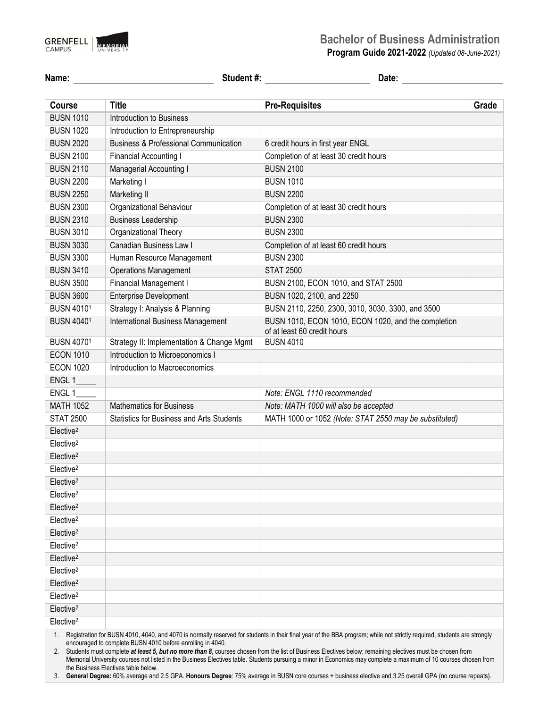

## **Bachelor of Business Administration**

**Program Guide 2021-2022** *(Updated 08-June-2021)*

| Name:                 | Student #:                                       | Date:                                                                              |       |
|-----------------------|--------------------------------------------------|------------------------------------------------------------------------------------|-------|
| <b>Course</b>         | <b>Title</b>                                     | <b>Pre-Requisites</b>                                                              | Grade |
| <b>BUSN 1010</b>      | Introduction to Business                         |                                                                                    |       |
| <b>BUSN 1020</b>      | Introduction to Entrepreneurship                 |                                                                                    |       |
| <b>BUSN 2020</b>      | <b>Business &amp; Professional Communication</b> | 6 credit hours in first year ENGL                                                  |       |
| <b>BUSN 2100</b>      | Financial Accounting I                           | Completion of at least 30 credit hours                                             |       |
| <b>BUSN 2110</b>      | Managerial Accounting I                          | <b>BUSN 2100</b>                                                                   |       |
| <b>BUSN 2200</b>      | Marketing I                                      | <b>BUSN 1010</b>                                                                   |       |
| <b>BUSN 2250</b>      | Marketing II                                     | <b>BUSN 2200</b>                                                                   |       |
| <b>BUSN 2300</b>      | Organizational Behaviour                         | Completion of at least 30 credit hours                                             |       |
| <b>BUSN 2310</b>      | <b>Business Leadership</b>                       | <b>BUSN 2300</b>                                                                   |       |
| <b>BUSN 3010</b>      | Organizational Theory                            | <b>BUSN 2300</b>                                                                   |       |
| <b>BUSN 3030</b>      | Canadian Business Law I                          | Completion of at least 60 credit hours                                             |       |
| <b>BUSN 3300</b>      | Human Resource Management                        | <b>BUSN 2300</b>                                                                   |       |
| <b>BUSN 3410</b>      | <b>Operations Management</b>                     | <b>STAT 2500</b>                                                                   |       |
| <b>BUSN 3500</b>      | Financial Management I                           | BUSN 2100, ECON 1010, and STAT 2500                                                |       |
| <b>BUSN 3600</b>      | <b>Enterprise Development</b>                    | BUSN 1020, 2100, and 2250                                                          |       |
| <b>BUSN 40101</b>     | Strategy I: Analysis & Planning                  | BUSN 2110, 2250, 2300, 3010, 3030, 3300, and 3500                                  |       |
| <b>BUSN 40401</b>     | <b>International Business Management</b>         | BUSN 1010, ECON 1010, ECON 1020, and the completion<br>of at least 60 credit hours |       |
| <b>BUSN 40701</b>     | Strategy II: Implementation & Change Mgmt        | <b>BUSN 4010</b>                                                                   |       |
| <b>ECON 1010</b>      | Introduction to Microeconomics I                 |                                                                                    |       |
| <b>ECON 1020</b>      | Introduction to Macroeconomics                   |                                                                                    |       |
| ENGL 1                |                                                  |                                                                                    |       |
| ENGL <sub>1</sub>     |                                                  | Note: ENGL 1110 recommended                                                        |       |
| <b>MATH 1052</b>      | <b>Mathematics for Business</b>                  | Note: MATH 1000 will also be accepted                                              |       |
| <b>STAT 2500</b>      | <b>Statistics for Business and Arts Students</b> | MATH 1000 or 1052 (Note: STAT 2550 may be substituted)                             |       |
| Elective <sup>2</sup> |                                                  |                                                                                    |       |
| Elective <sup>2</sup> |                                                  |                                                                                    |       |
| Elective <sup>2</sup> |                                                  |                                                                                    |       |
| Elective <sup>2</sup> |                                                  |                                                                                    |       |
| Elective <sup>2</sup> |                                                  |                                                                                    |       |
| Elective <sup>2</sup> |                                                  |                                                                                    |       |
| Elective <sup>2</sup> |                                                  |                                                                                    |       |
| Elective <sup>2</sup> |                                                  |                                                                                    |       |
| Elective <sup>2</sup> |                                                  |                                                                                    |       |
| Elective <sup>2</sup> |                                                  |                                                                                    |       |
| Elective <sup>2</sup> |                                                  |                                                                                    |       |
| Elective <sup>2</sup> |                                                  |                                                                                    |       |
| Elective <sup>2</sup> |                                                  |                                                                                    |       |
| Elective <sup>2</sup> |                                                  |                                                                                    |       |
| Elective <sup>2</sup> |                                                  |                                                                                    |       |
| Elective <sup>2</sup> |                                                  |                                                                                    |       |

1. Registration for BUSN 4010, 4040, and 4070 is normally reserved for students in their final year of the BBA program; while not strictly required, students are strongly encouraged to complete BUSN 4010 before enrolling in 4040.

2. Students must complete *at least 5, but no more than 8*, courses chosen from the list of Business Electives below; remaining electives must be chosen from Memorial University courses not listed in the Business Electives table. Students pursuing a minor in Economics may complete a maximum of 10 courses chosen from the Business Electives table below.

3. **General Degree:** 60% average and 2.5 GPA. **Honours Degree**: 75% average in BUSN core courses + business elective and 3.25 overall GPA (no course repeats).